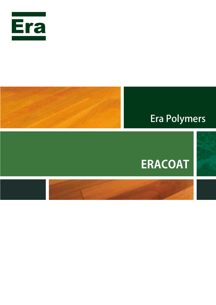



### **Era Polymers**

# **ERACOAT**

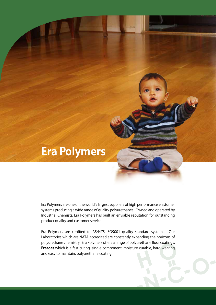

Era Polymers are one of the world's largest suppliers of high performance elastomer systems producing a wide range of quality polyurethanes. Owned and operated by Industrial Chemists, Era Polymers has built an enviable reputation for outstanding product quality and customer service.

Era Polymers are certified to AS/NZS ISO9001 quality standard systems. Our Laboratories which are NATA accredited are constantly expanding the horizons of polyurethane chemistry. Era Polymers offers a range of polyurethane floor coatings; **Eracoat** which is a fast curing, single component, moisture curable, hard wearing and easy to maintain, polyurethane coating.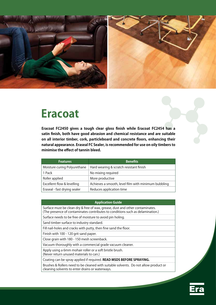

### **Eracoat**

**Eracoat FC2450 gives a tough clear gloss finish while Eracoat FC2454 has a satin finish, both have good abrasion and chemical resistance and are suitable on all interior timber, cork, particleboard and concrete floors, enhancing their natural appearance. Eraseal FC Sealer, is recommended for use on oily timbers to minimise the effect of tannin bleed.**

| <b>Features</b>              | <b>Benefits</b>                                     |
|------------------------------|-----------------------------------------------------|
| Moisture curing Polyurethane | Hard wearing & scratch resistant finish             |
| 1 Pack                       | No mixing required                                  |
| Roller applied               | More productive                                     |
| Excellent flow & levelling   | Achieves a smooth, level film with minimum bubbling |
| Eraseal - fast drying sealer | Reduces application time                            |

#### **Application Guide**

Surface must be clean dry & free of wax, grease, dust and other contaminates. (The presence of contaminates contributes to conditions such as delamination.)

Surface needs to be free of moisture to avoid pin holing.

Sand timber surface to industry standard.

Fill nail-holes and cracks with putty, then fine sand the floor.

Finish with 100 - 120 grit sand paper.

Close grain with 180 - 150 mesh screenback.

Vacuum thoroughly with a commercial grade vacuum cleaner.

Apply using a 6mm mohair roller or a soft bristle brush.

(Never return unused materials to can.)

Coating can be spray applied if required. **READ MSDS BEFORE SPRAYING.**

Brushes & Rollers need to be cleaned with suitable solvents. Do not allow product or cleaning solvents to enter drains or waterways.

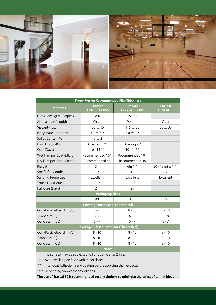

| <b>Properties on Recommended Film Thickness</b>                                              |                                  |                           |                                    |  |
|----------------------------------------------------------------------------------------------|----------------------------------|---------------------------|------------------------------------|--|
| <b>Properties</b>                                                                            | Eracoat<br><b>FC2450 - GLOSS</b> | Eracoat<br>FC2454 - SATIN | <b>Eraseal</b><br><b>FC SEALER</b> |  |
| Gloss Level @ 60 Degrees                                                                     | >90                              | $55 - 35$                 |                                    |  |
| Appearance (Liquid)                                                                          | Clear                            | Opaque                    | Clear                              |  |
| Viscosity (cps)                                                                              | $135 \pm 15$                     | $115 \pm 30$              | $60 \pm 30$                        |  |
| Isocyanate Content%                                                                          | $3.3 \pm 3.9$                    | $3.0 \pm 0.2$             |                                    |  |
| Solids Content %                                                                             | $45 \pm 2$                       |                           |                                    |  |
| Hard Dry @ 20°C                                                                              | Over night *                     | Over night *              |                                    |  |
| Cure (Days)                                                                                  | $10 - 14$ **                     | $10 - 14$ **              |                                    |  |
| Wet Film per Coat (Micron)                                                                   | Recommended 104                  | Recommended 104           |                                    |  |
| Dry Film per Coat (Micron)                                                                   | Recommended 48                   | Recommended 48            |                                    |  |
| Recoat                                                                                       | 6hr                              | 6hr ***                   | 30 - 45 mins ****                  |  |
| Shelf Life (Months)                                                                          | 12                               | 12                        | 12                                 |  |
| <b>Sanding Properties</b>                                                                    | Excellent                        | Excellent                 | Excellent                          |  |
| Touch Dry (Hours)                                                                            | $1 - 3$                          | $1 - 3$                   |                                    |  |
| Full Cure (Days)                                                                             | 21                               | 21                        |                                    |  |
| <b>Packaging Sizes</b>                                                                       |                                  |                           |                                    |  |
|                                                                                              | 20L                              | 10L                       | 20L                                |  |
| <b>Coverage Base Coat (Theoretical)</b>                                                      |                                  |                           |                                    |  |
| Cork/Particleboard (m <sup>2</sup> /L)                                                       | $5 - 7$                          | $8 - 10$                  | $8 - 10$                           |  |
| Timber (m <sup>2</sup> /L)                                                                   | $6 - 8$                          | $6 - 8$                   | $6 - 8$                            |  |
| Concrete (m <sup>2</sup> /L)                                                                 | $5 - 7$                          | $5 - 7$                   | $5 - 7$                            |  |
| <b>Coverage Subsequent Coat (Theoretical)</b>                                                |                                  |                           |                                    |  |
| Cork/Particleboard (m <sup>2</sup> /L)                                                       | $8 - 10$                         | $8 - 10$                  | $8 - 10$                           |  |
| Timber $(m^2/L)$                                                                             | $8 - 10$                         | $8 - 10$                  | $8 - 10$                           |  |
| Concrete (m <sup>2</sup> /L)                                                                 | $8 - 10$                         | $8 - 10$                  | $8 - 10$                           |  |
| <b>Notes</b>                                                                                 |                                  |                           |                                    |  |
| The surface may be subjected to light traffic after 24hrs.<br>∗                              |                                  |                           |                                    |  |
| $***$<br>Avoid walking on floor with street shoes.                                           |                                  |                           |                                    |  |
| $***$<br>Inter-coat Adhesion; sand coating before applying the next coat.                    |                                  |                           |                                    |  |
| ****<br>Depending on weather conditions.                                                     |                                  |                           |                                    |  |
| The use of Eraseal FC is recommended on oily timbers to minimise the effect of tannin bleed. |                                  |                           |                                    |  |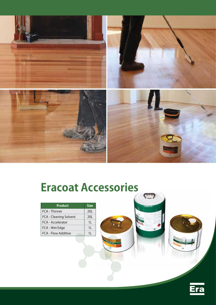

# **Eracoat Accessories**

 $\mathbf{C}$ 

| <b>Product</b>         | <b>Size</b> |
|------------------------|-------------|
| FCA - Thinner          | 20L         |
| FCA - Cleaning Solvent | 20L         |
| FCA - Accelerator      | 11          |
| FCA - Wet Edge         | 11          |
| FCA - Flow Additive    |             |